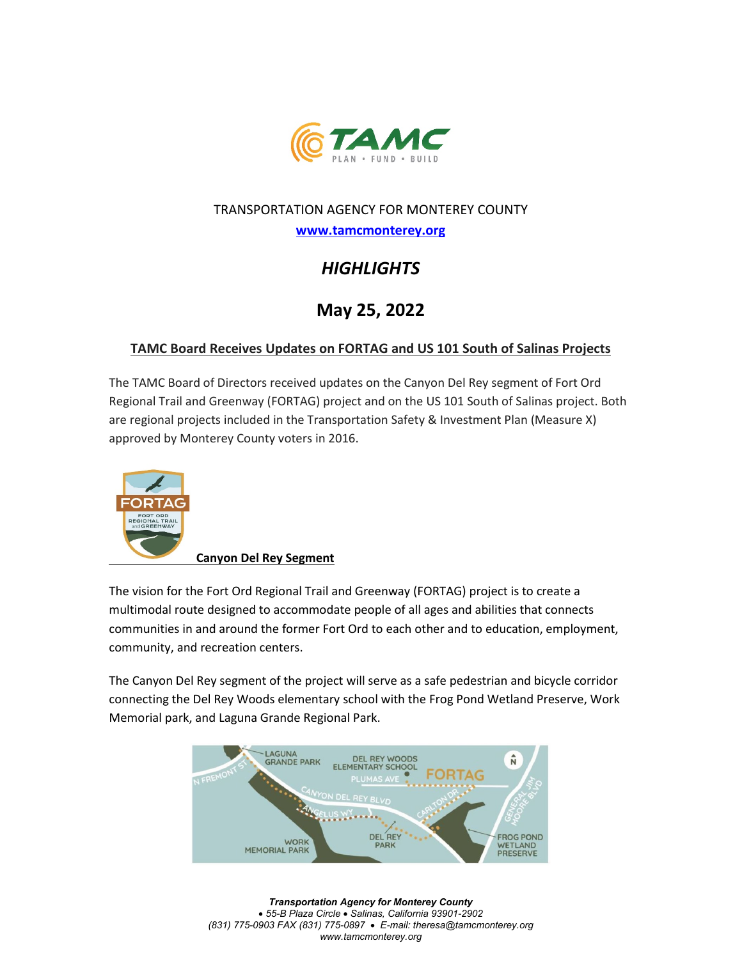

#### TRANSPORTATION AGENCY FOR MONTEREY COUNTY

**[www.tamcmonterey.org](http://www.tamcmonterey.org/)**

# *HIGHLIGHTS*

## **May 25, 2022**

### **TAMC Board Receives Updates on FORTAG and US 101 South of Salinas Projects**

The TAMC Board of Directors received updates on the Canyon Del Rey segment of Fort Ord Regional Trail and Greenway (FORTAG) project and on the US 101 South of Salinas project. Both are regional projects included in the Transportation Safety & Investment Plan (Measure X) approved by Monterey County voters in 2016.



**Canyon Del Rey Segment** 

The vision for the Fort Ord Regional Trail and Greenway (FORTAG) project is to create a multimodal route designed to accommodate people of all ages and abilities that connects communities in and around the former Fort Ord to each other and to education, employment, community, and recreation centers.

The Canyon Del Rey segment of the project will serve as a safe pedestrian and bicycle corridor connecting the Del Rey Woods elementary school with the Frog Pond Wetland Preserve, Work Memorial park, and Laguna Grande Regional Park.



*Transportation Agency for Monterey County*  • *55-B Plaza Circle* • *Salinas, California 93901-2902 (831) 775-0903 FAX (831) 775-0897* • *E-mail: theresa@tamcmonterey.org www.tamcmonterey.org*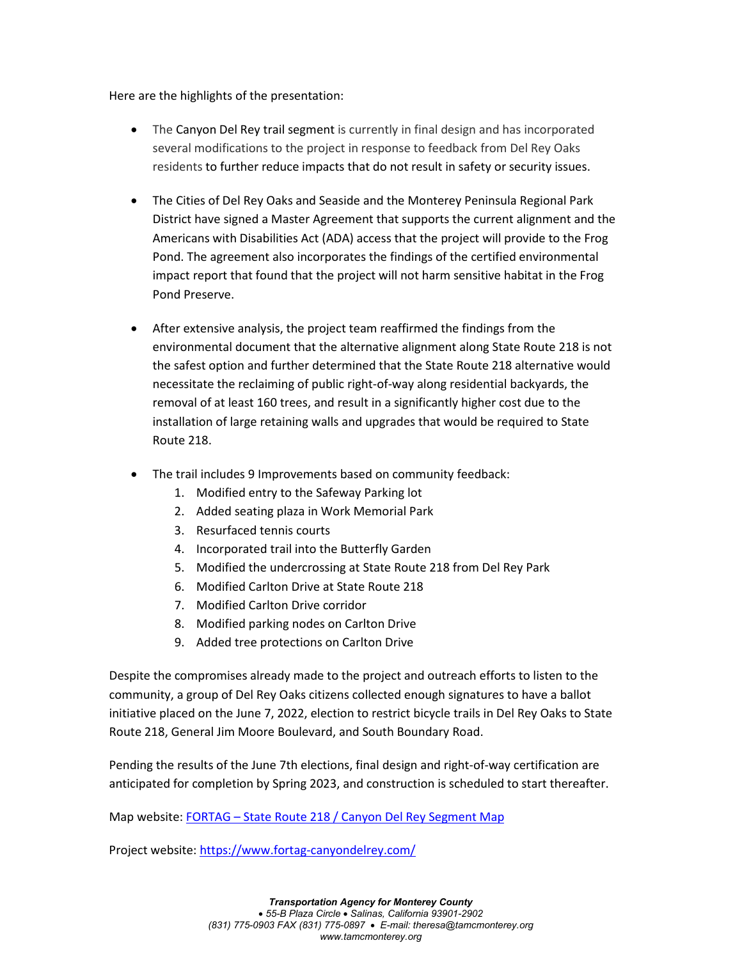Here are the highlights of the presentation:

- The Canyon Del Rey trail segment is currently in final design and has incorporated several modifications to the project in response to feedback from Del Rey Oaks residents to further reduce impacts that do not result in safety or security issues.
- The Cities of Del Rey Oaks and Seaside and the Monterey Peninsula Regional Park District have signed a Master Agreement that supports the current alignment and the Americans with Disabilities Act (ADA) access that the project will provide to the Frog Pond. The agreement also incorporates the findings of the certified environmental impact report that found that the project will not harm sensitive habitat in the Frog Pond Preserve.
- After extensive analysis, the project team reaffirmed the findings from the environmental document that the alternative alignment along State Route 218 is not the safest option and further determined that the State Route 218 alternative would necessitate the reclaiming of public right-of-way along residential backyards, the removal of at least 160 trees, and result in a significantly higher cost due to the installation of large retaining walls and upgrades that would be required to State Route 218.
- The trail includes 9 Improvements based on community feedback:
	- 1. Modified entry to the Safeway Parking lot
	- 2. Added seating plaza in Work Memorial Park
	- 3. Resurfaced tennis courts
	- 4. Incorporated trail into the Butterfly Garden
	- 5. Modified the undercrossing at State Route 218 from Del Rey Park
	- 6. Modified Carlton Drive at State Route 218
	- 7. Modified Carlton Drive corridor
	- 8. Modified parking nodes on Carlton Drive
	- 9. Added tree protections on Carlton Drive

Despite the compromises already made to the project and outreach efforts to listen to the community, a group of Del Rey Oaks citizens collected enough signatures to have a ballot initiative placed on the June 7, 2022, election to restrict bicycle trails in Del Rey Oaks to State Route 218, General Jim Moore Boulevard, and South Boundary Road.

Pending the results of the June 7th elections, final design and right-of-way certification are anticipated for completion by Spring 2023, and construction is scheduled to start thereafter.

Map website: FORTAG – [State Route 218 / Canyon Del Rey Segment Map](https://tamc.novusagenda.com/AgendaWeb/AttachmentViewer.ashx?AttachmentID=4270&ItemID=3371)

Project website:<https://www.fortag-canyondelrey.com/>